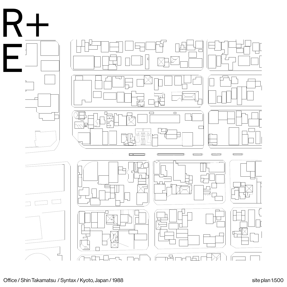

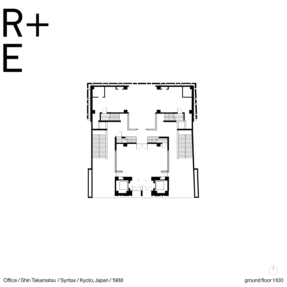







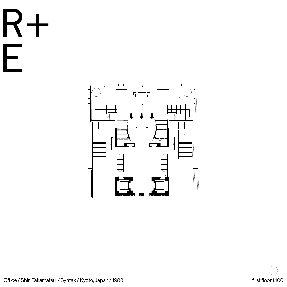R+

E





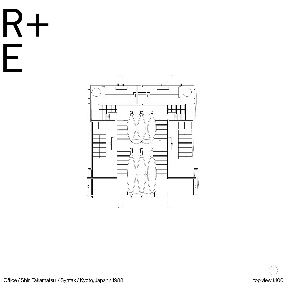R+

E





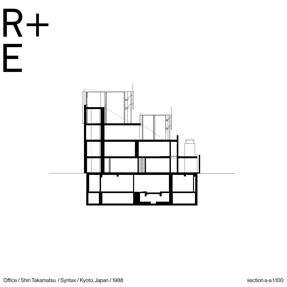



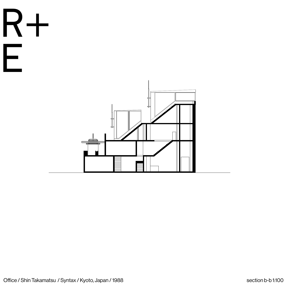